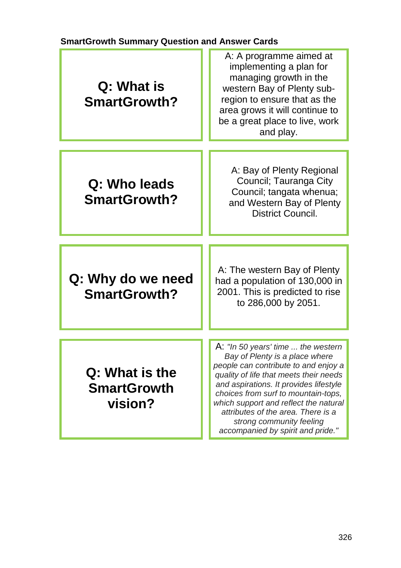## **SmartGrowth Summary Question and Answer Cards**

| Q: What is<br><b>SmartGrowth?</b>               | A: A programme aimed at<br>implementing a plan for<br>managing growth in the<br>western Bay of Plenty sub-<br>region to ensure that as the<br>area grows it will continue to<br>be a great place to live, work<br>and play.                                                                                                                                                             |
|-------------------------------------------------|-----------------------------------------------------------------------------------------------------------------------------------------------------------------------------------------------------------------------------------------------------------------------------------------------------------------------------------------------------------------------------------------|
| Q: Who leads<br><b>SmartGrowth?</b>             | A: Bay of Plenty Regional<br>Council; Tauranga City<br>Council; tangata whenua;<br>and Western Bay of Plenty<br><b>District Council.</b>                                                                                                                                                                                                                                                |
| Q: Why do we need<br><b>SmartGrowth?</b>        | A: The western Bay of Plenty<br>had a population of 130,000 in<br>2001. This is predicted to rise<br>to 286,000 by 2051.                                                                                                                                                                                                                                                                |
| Q: What is the<br><b>SmartGrowth</b><br>vision? | A: "In 50 years' time  the western<br>Bay of Plenty is a place where<br>people can contribute to and enjoy a<br>quality of life that meets their needs<br>and aspirations. It provides lifestyle<br>choices from surf to mountain-tops,<br>which support and reflect the natural<br>attributes of the area. There is a<br>strong community feeling<br>accompanied by spirit and pride." |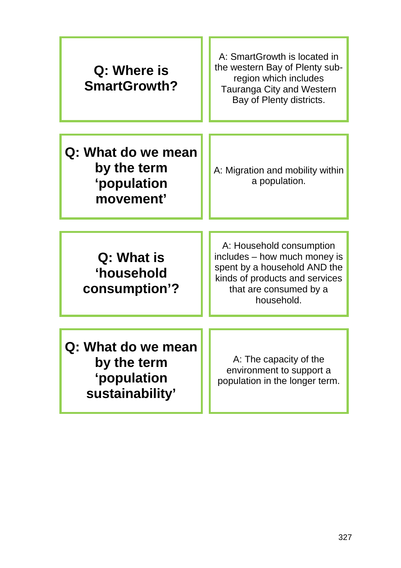| Q: Where is<br>SmartGrowth?                                         | A: SmartGrowth is located in<br>the western Bay of Plenty sub-<br>region which includes<br><b>Tauranga City and Western</b><br>Bay of Plenty districts.            |
|---------------------------------------------------------------------|--------------------------------------------------------------------------------------------------------------------------------------------------------------------|
| Q: What do we mean<br>by the term<br>'population<br>movement'       | A: Migration and mobility within<br>a population.                                                                                                                  |
| Q: What is<br>'household<br>consumption'?                           | A: Household consumption<br>includes - how much money is<br>spent by a household AND the<br>kinds of products and services<br>that are consumed by a<br>household. |
| Q: What do we mean<br>by the term<br>'population<br>sustainability' | A: The capacity of the<br>environment to support a<br>population in the longer term.                                                                               |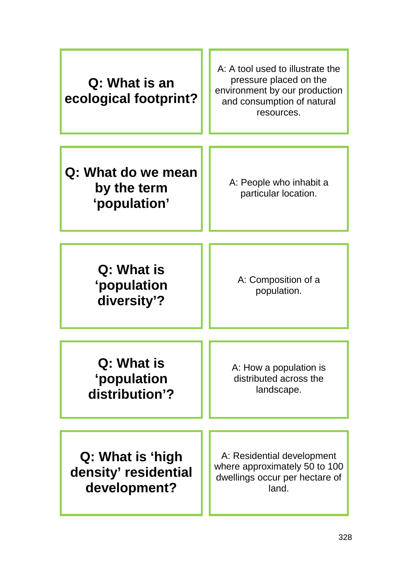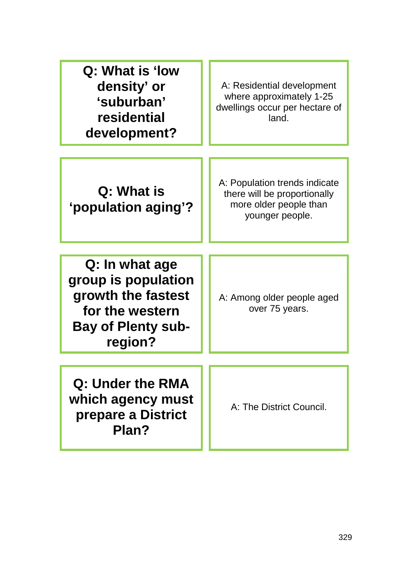| Q: What is 'low<br>density' or<br>'suburban'<br>residential<br>development?                                            | A: Residential development<br>where approximately 1-25<br>dwellings occur per hectare of<br>land.          |
|------------------------------------------------------------------------------------------------------------------------|------------------------------------------------------------------------------------------------------------|
| Q: What is<br>'population aging'?                                                                                      | A: Population trends indicate<br>there will be proportionally<br>more older people than<br>younger people. |
| Q: In what age<br>group is population<br>growth the fastest<br>for the western<br><b>Bay of Plenty sub-</b><br>region? | A: Among older people aged<br>over 75 years.                                                               |
| Q: Under the RMA<br>which agency must<br>prepare a District<br>Plan?                                                   | A: The District Council.                                                                                   |